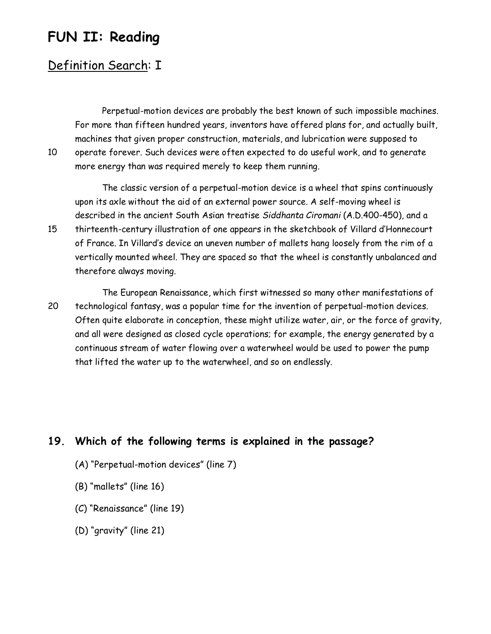# **FUN II: Reading**

## Definition Search: I

Perpetual-motion devices are probably the best known of such impossible machines. For more than fifteen hundred years, inventors have offered plans for, and actually built, machines that given proper construction, materials, and lubrication were supposed to 10 operate forever. Such devices were often expected to do useful work, and to generate more energy than was required merely to keep them running.

The classic version of a perpetual-motion device is a wheel that spins continuously upon its axle without the aid of an external power source. A self-moving wheel is described in the ancient South Asian treatise *Siddhanta Ciromani* (A.D.400-450), and a 15 thirteenth-century illustration of one appears in the sketchbook of Villard d'Honnecourt of France. In Villard's device an uneven number of mallets hang loosely from the rim of a vertically mounted wheel. They are spaced so that the wheel is constantly unbalanced and therefore always moving.

The European Renaissance, which first witnessed so many other manifestations of 20 technological fantasy, was a popular time for the invention of perpetual-motion devices. Often quite elaborate in conception, these might utilize water, air, or the force of gravity, and all were designed as closed cycle operations; for example, the energy generated by a continuous stream of water flowing over a waterwheel would be used to power the pump that lifted the water up to the waterwheel, and so on endlessly.

#### **19. Which of the following terms is explained in the passage?**

- (A) "Perpetual-motion devices" (line 7)
- (B) "mallets" (line 16)
- (C) "Renaissance" (line 19)
- (D) "gravity" (line 21)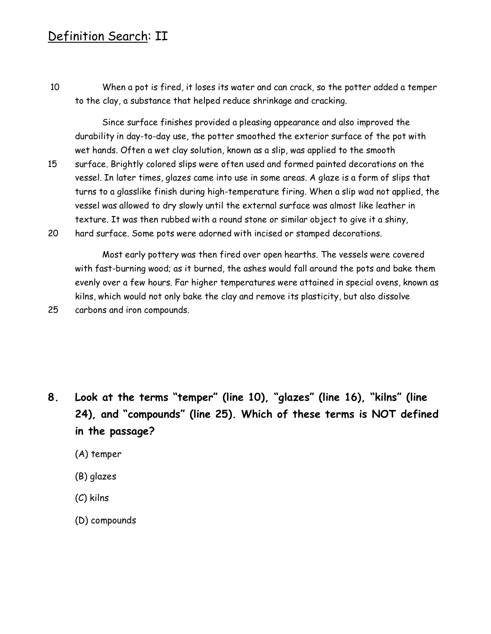### Definition Search: II

10 When a pot is fired, it loses its water and can crack, so the potter added a temper to the clay, a substance that helped reduce shrinkage and cracking.

Since surface finishes provided a pleasing appearance and also improved the durability in day-to-day use, the potter smoothed the exterior surface of the pot with wet hands. Often a wet clay solution, known as a slip, was applied to the smooth 15 surface. Brightly colored slips were often used and formed painted decorations on the vessel. In later times, glazes came into use in some areas. A glaze is a form of slips that turns to a glasslike finish during high-temperature firing. When a slip wad not applied, the vessel was allowed to dry slowly until the external surface was almost like leather in

texture. It was then rubbed with a round stone or similar object to give it a shiny, 20 hard surface. Some pots were adorned with incised or stamped decorations.

Most early pottery was then fired over open hearths. The vessels were covered with fast-burning wood; as it burned, the ashes would fall around the pots and bake them evenly over a few hours. Far higher temperatures were attained in special ovens, known as kilns, which would not only bake the clay and remove its plasticity, but also dissolve 25 carbons and iron compounds.

- **8. Look at the terms "temper" (line 10), "glazes" (line 16), "kilns" (line 24), and "compounds" (line 25). Which of these terms is NOT defined in the passage?**
	- (A) temper
	- (B) glazes
	- (C) kilns
	- (D) compounds